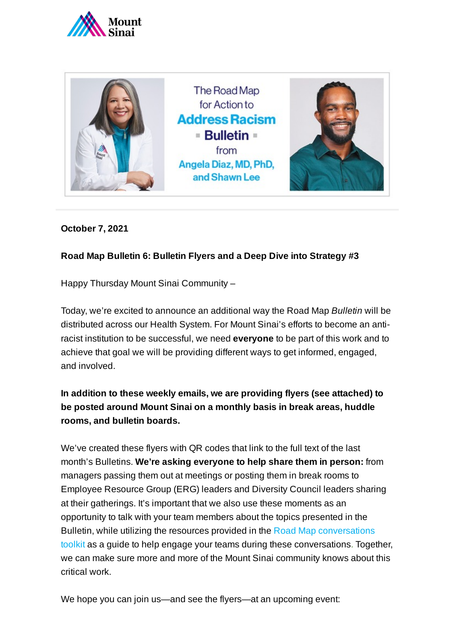



## **October 7, 2021**

## **Road Map Bulletin 6: Bulletin Flyers and a Deep Dive into Strategy #3**

Happy Thursday Mount Sinai Community –

Today, we're excited to announce an additional way the Road Map *Bulletin* will be distributed across our Health System. For Mount Sinai's efforts to become an antiracist institution to be successful, we need **everyone** to be part of this work and to achieve that goal we will be providing different ways to get informed, engaged, and involved.

**In addition to these weekly emails, we are providing flyers (see attached) to be posted around Mount Sinai on a monthly basis in break areas, huddle rooms, and bulletin boards.**

We've created these flyers with QR codes that link to the full text of the last month's Bulletins. **We're asking everyone to help share them in person:** from managers passing them out at meetings or posting them in break rooms to Employee Resource Group (ERG) leaders and Diversity Council leaders sharing at their gatherings. It's important that we also use these moments as an opportunity to talk with your team members about the topics presented in the Bulletin, while utilizing the [resources provided](https://www.mountsinai.org/about/addressing-racism/toolkit) in the Road Map conversations toolkit as a guide to help engage your teams during these conversations. Together, we can make sure more and more of the Mount Sinai community knows about this critical work.

We hope you can join us—and see the flyers—at an upcoming event: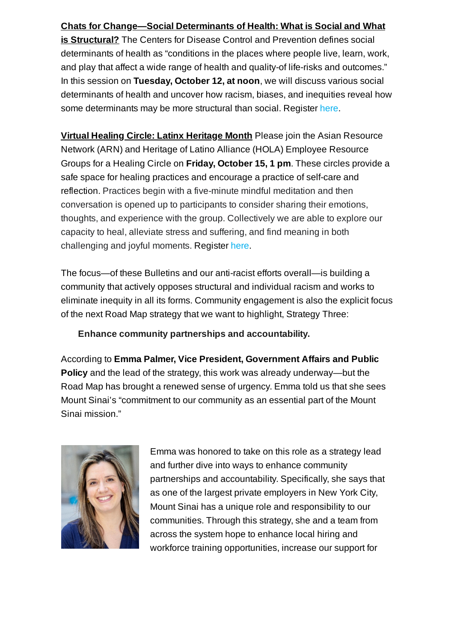## **Chats for Change—Social Determinants of Health: What is Social and What**

**is Structural?** The Centers for Disease Control and Prevention defines social determinants of health as "conditions in the places where people live, learn, work, and play that affect a wide range of health and quality-of life-risks and outcomes." In this session on **Tuesday, October 12, at noon**, we will discuss various social determinants of health and uncover how racism, biases, and inequities reveal how some determinants may be more structural than social. Register [here.](https://mssm.zoom.us/meeting/register/tZIlfumgqTwrEtRsytFYlSTp5heevuadbTU2)

**Virtual Healing Circle: Latinx Heritage Month** Please join the Asian Resource Network (ARN) and Heritage of Latino Alliance (HOLA) Employee Resource Groups for a Healing Circle on **Friday, October 15, 1 pm**. These circles provide a safe space for healing practices and encourage a practice of self-care and reflection. Practices begin with a five-minute mindful meditation and then conversation is opened up to participants to consider sharing their emotions, thoughts, and experience with the group. Collectively we are able to explore our capacity to heal, alleviate stress and suffering, and find meaning in both challenging and joyful moments. Register [here.](https://docs.google.com/forms/d/e/1FAIpQLSfFgM-v2e6dAvys_h5DG05x0o_7Z7UNIvwtPeCLCmpL9mo23A/viewform)

The focus—of these Bulletins and our anti-racist efforts overall—is building a community that actively opposes structural and individual racism and works to eliminate inequity in all its forms. Community engagement is also the explicit focus of the next Road Map strategy that we want to highlight, Strategy Three:

**Enhance community partnerships and accountability.**

According to **Emma Palmer, Vice President, Government Affairs and Public Policy** and the lead of the strategy, this work was already underway—but the Road Map has brought a renewed sense of urgency. Emma told us that she sees Mount Sinai's "commitment to our community as an essential part of the Mount Sinai mission."



Emma was honored to take on this role as a strategy lead and further dive into ways to enhance community partnerships and accountability. Specifically, she says that as one of the largest private employers in New York City, Mount Sinai has a unique role and responsibility to our communities. Through this strategy, she and a team from across the system hope to enhance local hiring and workforce training opportunities, increase our support for